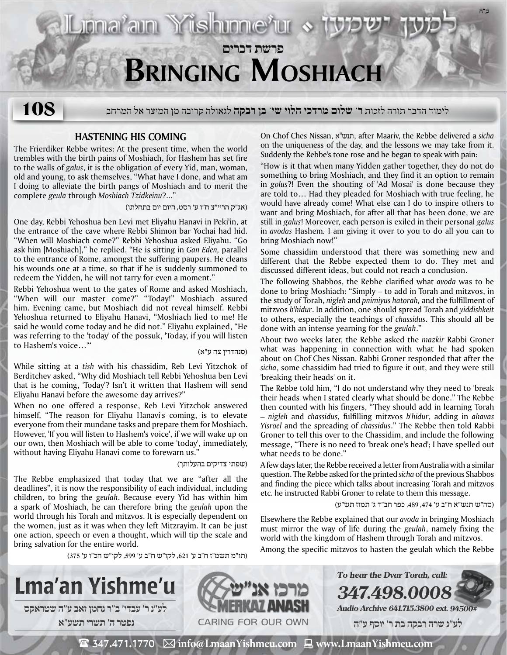# **פרשת דברים Bringing Moshiach**

לימוד הדבר תורה לזכות **ר' שלום מרדכי הלוי שי' בן רבקה** לגאולה קרובה מן המיצר אל המרחב **108**

## **Hastening his Coming**

The Frierdiker Rebbe writes: At the present time, when the world trembles with the birth pains of Moshiach, for Hashem has set fire to the walls of *galus*, it is the obligation of every Yid, man, woman, old and young, to ask themselves, "What have I done, and what am I doing to alleviate the birth pangs of Moshiach and to merit the complete *geula* through *Moshiach Tzidkeinu*?..."

(אג"ק הריי"צ ח"ו ע' רסט, היום יום בתחלתו)

Liona<sup>r</sup>ain Yishinne'ur «

One day, Rebbi Yehoshua ben Levi met Eliyahu Hanavi in Peki'in, at the entrance of the cave where Rebbi Shimon bar Yochai had hid. "When will Moshiach come?" Rebbi Yehoshua asked Eliyahu. "Go ask him [Moshiach]," he replied. "He is sitting in *Gan Eden,* parallel to the entrance of Rome, amongst the suffering paupers. He cleans his wounds one at a time, so that if he is suddenly summoned to redeem the Yidden, he will not tarry for even a moment."

Rebbi Yehoshua went to the gates of Rome and asked Moshiach, "When will our master come?" "Today!" Moshiach assured him. Evening came, but Moshiach did not reveal himself. Rebbi Yehoshua returned to Eliyahu Hanavi, "Moshiach lied to me! He said he would come today and he did not." Eliyahu explained, "He was referring to the 'today' of the possuk, 'Today, if you will listen to Hashem's voice…'"

(סנהדרין צח ע"א)

While sitting at a *tish* with his chassidim, Reb Levi Yitzchok of Berditchev asked, "Why did Moshiach tell Rebbi Yehoshua ben Levi that is he coming, 'Today'? Isn't it written that Hashem will send Eliyahu Hanavi before the awesome day arrives?"

When no one offered a response, Reb Levi Yitzchok answered himself, "The reason for Eliyahu Hanavi's coming, is to elevate everyone from their mundane tasks and prepare them for Moshiach. However, 'If you will listen to Hashem's voice', if we will wake up on our own, then Moshiach will be able to come 'today', immediately, without having Eliyahu Hanavi come to forewarn us."

#### (שפתי צדיקים בהעלותך)

The Rebbe emphasized that today that we are "after all the deadlines", it is now the responsibility of each individual, including children, to bring the *geulah*. Because every Yid has within him a spark of Moshiach, he can therefore bring the *geulah* upon the world through his Torah and mitzvos. It is especially dependent on the women, just as it was when they left Mitzrayim. It can be just one action, speech or even a thought, which will tip the scale and bring salvation for the entire world.

(תו"מ תשמ״ז ח״ב ע׳ ,621 לקו"ש ח"ב ע' ,599 לקו"ש חכ"ו ע' 375)



On Chof Ches Nissan, א"תנש, after Maariv, the Rebbe delivered a *sicha* on the uniqueness of the day, and the lessons we may take from it. Suddenly the Rebbe's tone rose and he began to speak with pain:

**ב"ה**

"How is it that when many Yidden gather together, they do not do something to bring Moshiach, and they find it an option to remain in *golus*?! Even the shouting of 'Ad Mosai' is done because they are told to… Had they pleaded for Moshiach with true feeling, he would have already come! What else can I do to inspire others to want and bring Moshiach, for after all that has been done, we are still in *galus*! Moreover, each person is exiled in their personal *galus* in *avodas* Hashem*.* I am giving it over to you to do all you can to bring Moshiach now!"

Some chassidim understood that there was something new and different that the Rebbe expected them to do. They met and discussed different ideas, but could not reach a conclusion.

The following Shabbos, the Rebbe clarified what *avoda* was to be done to bring Moshiach: "Simply – to add in Torah and mitzvos, in the study of Torah, *nigleh* and *pnimiyus hatorah,* and the fulfillment of mitzvos *b'hidur*. In addition, one should spread Torah and *yiddishkeit* to others, especially the teachings of *chassidus*. This should all be done with an intense yearning for the *geulah*."

About two weeks later, the Rebbe asked the *mazkir* Rabbi Groner what was happening in connection with what he had spoken about on Chof Ches Nissan. Rabbi Groner responded that after the *sicha*, some chassidim had tried to figure it out, and they were still 'breaking their heads' on it.

The Rebbe told him, "I do not understand why they need to 'break their heads' when I stated clearly what should be done." The Rebbe then counted with his fingers, "They should add in learning Torah – *nigleh* and *chassidus*, fulfilling mitzvos *b'hidur*, adding in *ahavas Yisroel* and the spreading of *chassidus*." The Rebbe then told Rabbi Groner to tell this over to the Chassidim, and include the following message, "There is no need to 'break one's head'; I have spelled out what needs to be done."

A few days later, the Rebbe received a letter from Australia with a similar question. The Rebbe asked for the printed *sicha* of the previous Shabbos and finding the piece which talks about increasing Torah and mitzvos etc. he instructed Rabbi Groner to relate to them this message.

(סה"ש תנש"א ח"ב ע' ,474 ,489 כפר חב"ד ג' תמוז תש"ע)

Elsewhere the Rebbe explained that our *avoda* in bringing Moshiach must mirror the way of life during the *geulah*, namely fixing the world with the kingdom of Hashem through Torah and mitzvos.

Among the specific mitzvos to hasten the geulah which the Rebbe



 $\mathbf{\mathcal{F}}$  347.471.1770  $\boxtimes$  info@LmaanYishmeu.com  $\mathbf{\mathcal{F}}$  www.LmaanYishmeu.com

Caring for our own

**מרכז אנ״ש MERKAZ ANASH**